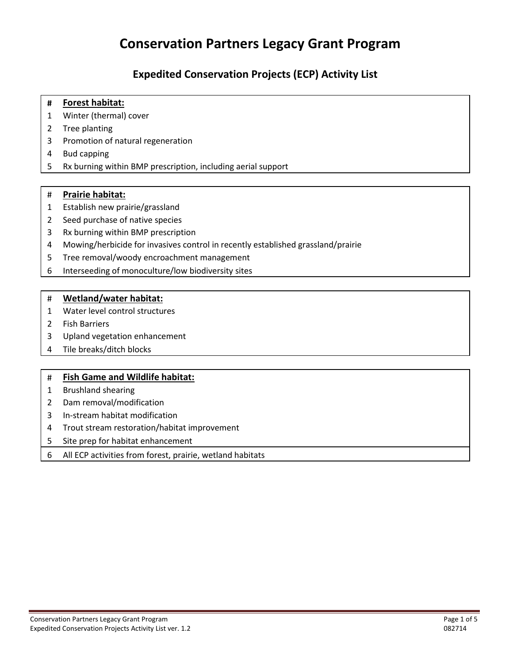# **Conservation Partners Legacy Grant Program**

### **Expedited Conservation Projects (ECP) Activity List**

#### **# Forest habitat:**

- Winter (thermal) cover
- Tree planting
- Promotion of natural regeneration
- Bud capping
- Rx burning within BMP prescription, including aerial support

#### # **Prairie habitat:**

- Establish new prairie/grassland
- Seed purchase of native species
- Rx burning within BMP prescription
- Mowing/herbicide for invasives control in recently established grassland/prairie
- Tree removal/woody encroachment management
- Interseeding of monoculture/low biodiversity sites

#### # **Wetland/water habitat:**

- Water level control structures
- Fish Barriers
- Upland vegetation enhancement
- Tile breaks/ditch blocks

#### # **Fish Game and Wildlife habitat:**

- Brushland shearing
- Dam removal/modification
- In-stream habitat modification
- Trout stream restoration/habitat improvement
- Site prep for habitat enhancement
- All ECP activities from forest, prairie, wetland habitats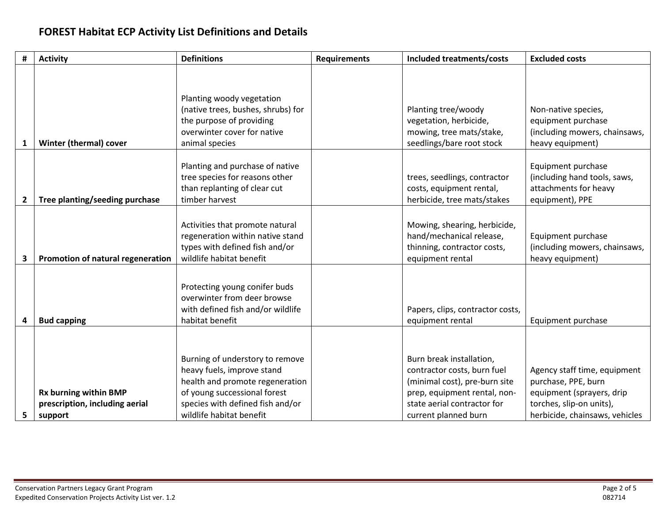## **FOREST Habitat ECP Activity List Definitions and Details**

| #            | <b>Activity</b>                   | <b>Definitions</b>                                                                                                  | <b>Requirements</b> | Included treatments/costs                                                               | <b>Excluded costs</b>                                                                          |
|--------------|-----------------------------------|---------------------------------------------------------------------------------------------------------------------|---------------------|-----------------------------------------------------------------------------------------|------------------------------------------------------------------------------------------------|
|              |                                   |                                                                                                                     |                     |                                                                                         |                                                                                                |
|              |                                   | Planting woody vegetation                                                                                           |                     |                                                                                         |                                                                                                |
|              |                                   | (native trees, bushes, shrubs) for                                                                                  |                     | Planting tree/woody                                                                     | Non-native species,                                                                            |
|              |                                   | the purpose of providing                                                                                            |                     | vegetation, herbicide,                                                                  | equipment purchase                                                                             |
|              |                                   | overwinter cover for native                                                                                         |                     | mowing, tree mats/stake,                                                                | (including mowers, chainsaws,                                                                  |
| 1            | Winter (thermal) cover            | animal species                                                                                                      |                     | seedlings/bare root stock                                                               | heavy equipment)                                                                               |
| $\mathbf{2}$ | Tree planting/seeding purchase    | Planting and purchase of native<br>tree species for reasons other<br>than replanting of clear cut<br>timber harvest |                     | trees, seedlings, contractor<br>costs, equipment rental,<br>herbicide, tree mats/stakes | Equipment purchase<br>(including hand tools, saws,<br>attachments for heavy<br>equipment), PPE |
|              |                                   |                                                                                                                     |                     |                                                                                         |                                                                                                |
|              |                                   | Activities that promote natural                                                                                     |                     | Mowing, shearing, herbicide,                                                            |                                                                                                |
|              |                                   | regeneration within native stand                                                                                    |                     | hand/mechanical release,                                                                | Equipment purchase                                                                             |
|              |                                   | types with defined fish and/or                                                                                      |                     | thinning, contractor costs,                                                             | (including mowers, chainsaws,                                                                  |
| 3            | Promotion of natural regeneration | wildlife habitat benefit                                                                                            |                     | equipment rental                                                                        | heavy equipment)                                                                               |
|              |                                   |                                                                                                                     |                     |                                                                                         |                                                                                                |
|              |                                   | Protecting young conifer buds                                                                                       |                     |                                                                                         |                                                                                                |
|              |                                   | overwinter from deer browse                                                                                         |                     |                                                                                         |                                                                                                |
|              |                                   | with defined fish and/or wildlife                                                                                   |                     | Papers, clips, contractor costs,                                                        |                                                                                                |
| 4            | <b>Bud capping</b>                | habitat benefit                                                                                                     |                     | equipment rental                                                                        | Equipment purchase                                                                             |
|              |                                   |                                                                                                                     |                     |                                                                                         |                                                                                                |
|              |                                   |                                                                                                                     |                     |                                                                                         |                                                                                                |
|              |                                   | Burning of understory to remove                                                                                     |                     | Burn break installation,                                                                |                                                                                                |
|              |                                   | heavy fuels, improve stand                                                                                          |                     | contractor costs, burn fuel                                                             | Agency staff time, equipment                                                                   |
|              |                                   | health and promote regeneration                                                                                     |                     | (minimal cost), pre-burn site                                                           | purchase, PPE, burn                                                                            |
|              | Rx burning within BMP             | of young successional forest                                                                                        |                     | prep, equipment rental, non-                                                            | equipment (sprayers, drip                                                                      |
|              | prescription, including aerial    | species with defined fish and/or                                                                                    |                     | state aerial contractor for                                                             | torches, slip-on units),                                                                       |
| 5            | support                           | wildlife habitat benefit                                                                                            |                     | current planned burn                                                                    | herbicide, chainsaws, vehicles                                                                 |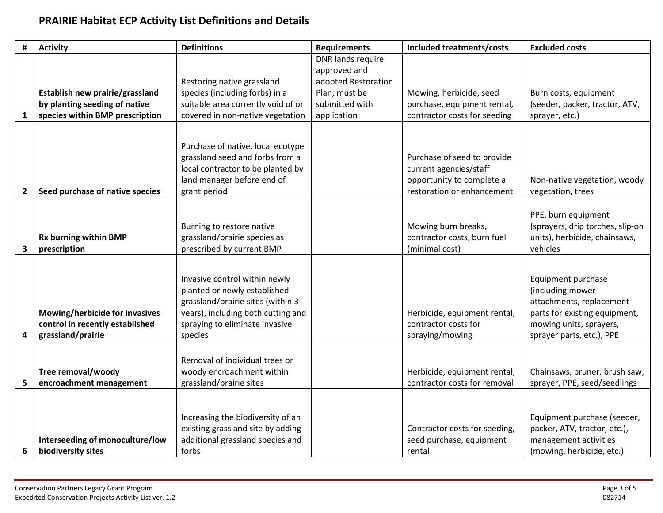## **PRAIRIE Habitat ECP Activity List Definitions and Details**

| #              | <b>Activity</b>                                                  | <b>Definitions</b>                                                   | <b>Requirements</b>             | Included treatments/costs                              | <b>Excluded costs</b>                                             |
|----------------|------------------------------------------------------------------|----------------------------------------------------------------------|---------------------------------|--------------------------------------------------------|-------------------------------------------------------------------|
|                |                                                                  |                                                                      | DNR lands require               |                                                        |                                                                   |
|                |                                                                  |                                                                      | approved and                    |                                                        |                                                                   |
|                |                                                                  | Restoring native grassland                                           | adopted Restoration             |                                                        |                                                                   |
|                | Establish new prairie/grassland<br>by planting seeding of native | species (including forbs) in a<br>suitable area currently void of or | Plan; must be<br>submitted with | Mowing, herbicide, seed<br>purchase, equipment rental, | Burn costs, equipment<br>(seeder, packer, tractor, ATV,           |
| 1              | species within BMP prescription                                  | covered in non-native vegetation                                     | application                     | contractor costs for seeding                           | sprayer, etc.)                                                    |
|                |                                                                  |                                                                      |                                 |                                                        |                                                                   |
|                |                                                                  |                                                                      |                                 |                                                        |                                                                   |
|                |                                                                  | Purchase of native, local ecotype                                    |                                 |                                                        |                                                                   |
|                |                                                                  | grassland seed and forbs from a                                      |                                 | Purchase of seed to provide                            |                                                                   |
|                |                                                                  | local contractor to be planted by                                    |                                 | current agencies/staff                                 |                                                                   |
|                |                                                                  | land manager before end of                                           |                                 | opportunity to complete a                              | Non-native vegetation, woody                                      |
| $\overline{2}$ | Seed purchase of native species                                  | grant period                                                         |                                 | restoration or enhancement                             | vegetation, trees                                                 |
|                |                                                                  |                                                                      |                                 |                                                        |                                                                   |
|                |                                                                  |                                                                      |                                 |                                                        | PPE, burn equipment                                               |
|                | Rx burning within BMP                                            | Burning to restore native<br>grassland/prairie species as            |                                 | Mowing burn breaks,<br>contractor costs, burn fuel     | (sprayers, drip torches, slip-on<br>units), herbicide, chainsaws, |
| 3              | prescription                                                     | prescribed by current BMP                                            |                                 | (minimal cost)                                         | vehicles                                                          |
|                |                                                                  |                                                                      |                                 |                                                        |                                                                   |
|                |                                                                  |                                                                      |                                 |                                                        |                                                                   |
|                |                                                                  | Invasive control within newly                                        |                                 |                                                        | Equipment purchase                                                |
|                |                                                                  | planted or newly established                                         |                                 |                                                        | (including mower                                                  |
|                |                                                                  | grassland/prairie sites (within 3                                    |                                 |                                                        | attachments, replacement                                          |
|                | Mowing/herbicide for invasives                                   | years), including both cutting and                                   |                                 | Herbicide, equipment rental,                           | parts for existing equipment,                                     |
|                | control in recently established<br>grassland/prairie             | spraying to eliminate invasive                                       |                                 | contractor costs for<br>spraying/mowing                | mowing units, sprayers,                                           |
| 4              |                                                                  | species                                                              |                                 |                                                        | sprayer parts, etc.), PPE                                         |
|                |                                                                  | Removal of individual trees or                                       |                                 |                                                        |                                                                   |
|                | Tree removal/woody                                               | woody encroachment within                                            |                                 | Herbicide, equipment rental,                           | Chainsaws, pruner, brush saw,                                     |
| 5              | encroachment management                                          | grassland/prairie sites                                              |                                 | contractor costs for removal                           | sprayer, PPE, seed/seedlings                                      |
|                |                                                                  |                                                                      |                                 |                                                        |                                                                   |
|                |                                                                  |                                                                      |                                 |                                                        |                                                                   |
|                |                                                                  | Increasing the biodiversity of an                                    |                                 |                                                        | Equipment purchase (seeder,                                       |
|                |                                                                  | existing grassland site by adding                                    |                                 | Contractor costs for seeding,                          | packer, ATV, tractor, etc.),                                      |
|                | Interseeding of monoculture/low                                  | additional grassland species and                                     |                                 | seed purchase, equipment                               | management activities                                             |
| 6              | biodiversity sites                                               | forbs                                                                |                                 | rental                                                 | (mowing, herbicide, etc.)                                         |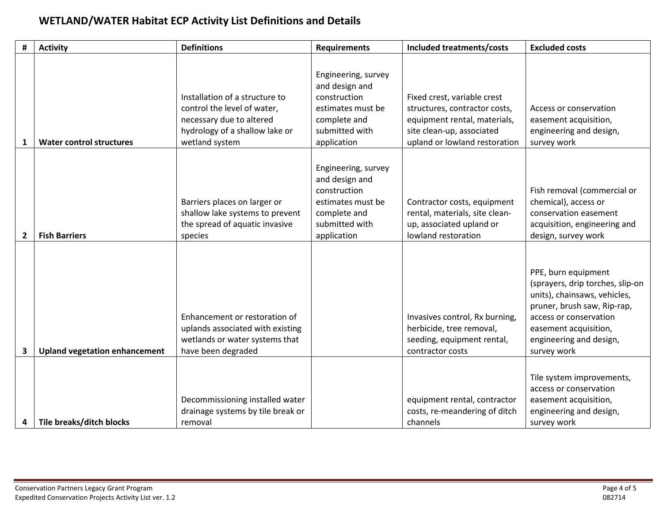## **WETLAND/WATER Habitat ECP Activity List Definitions and Details**

| #              | <b>Activity</b>                      | <b>Definitions</b>                                                                                                                            | <b>Requirements</b>                                                                                                         | Included treatments/costs                                                                                                                                  | <b>Excluded costs</b>                                                                                                                                                                                               |
|----------------|--------------------------------------|-----------------------------------------------------------------------------------------------------------------------------------------------|-----------------------------------------------------------------------------------------------------------------------------|------------------------------------------------------------------------------------------------------------------------------------------------------------|---------------------------------------------------------------------------------------------------------------------------------------------------------------------------------------------------------------------|
| 1              | <b>Water control structures</b>      | Installation of a structure to<br>control the level of water,<br>necessary due to altered<br>hydrology of a shallow lake or<br>wetland system | Engineering, survey<br>and design and<br>construction<br>estimates must be<br>complete and<br>submitted with<br>application | Fixed crest, variable crest<br>structures, contractor costs,<br>equipment rental, materials,<br>site clean-up, associated<br>upland or lowland restoration | Access or conservation<br>easement acquisition,<br>engineering and design,<br>survey work                                                                                                                           |
| $\overline{2}$ | <b>Fish Barriers</b>                 | Barriers places on larger or<br>shallow lake systems to prevent<br>the spread of aquatic invasive<br>species                                  | Engineering, survey<br>and design and<br>construction<br>estimates must be<br>complete and<br>submitted with<br>application | Contractor costs, equipment<br>rental, materials, site clean-<br>up, associated upland or<br>lowland restoration                                           | Fish removal (commercial or<br>chemical), access or<br>conservation easement<br>acquisition, engineering and<br>design, survey work                                                                                 |
| 3              | <b>Upland vegetation enhancement</b> | Enhancement or restoration of<br>uplands associated with existing<br>wetlands or water systems that<br>have been degraded                     |                                                                                                                             | Invasives control, Rx burning,<br>herbicide, tree removal,<br>seeding, equipment rental,<br>contractor costs                                               | PPE, burn equipment<br>(sprayers, drip torches, slip-on<br>units), chainsaws, vehicles,<br>pruner, brush saw, Rip-rap,<br>access or conservation<br>easement acquisition,<br>engineering and design,<br>survey work |
| 4              | Tile breaks/ditch blocks             | Decommissioning installed water<br>drainage systems by tile break or<br>removal                                                               |                                                                                                                             | equipment rental, contractor<br>costs, re-meandering of ditch<br>channels                                                                                  | Tile system improvements,<br>access or conservation<br>easement acquisition,<br>engineering and design,<br>survey work                                                                                              |